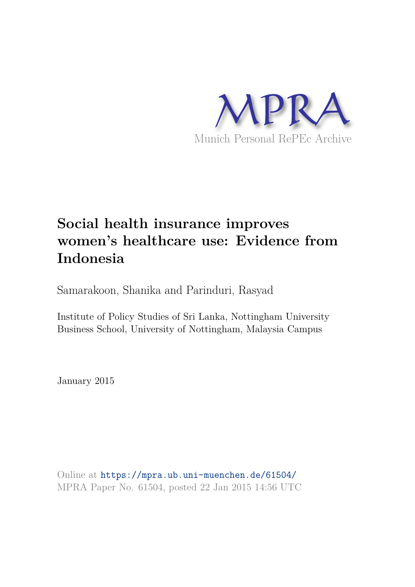

# **Social health insurance improves women's healthcare use: Evidence from Indonesia**

Samarakoon, Shanika and Parinduri, Rasyad

Institute of Policy Studies of Sri Lanka, Nottingham University Business School, University of Nottingham, Malaysia Campus

January 2015

Online at https://mpra.ub.uni-muenchen.de/61504/ MPRA Paper No. 61504, posted 22 Jan 2015 14:56 UTC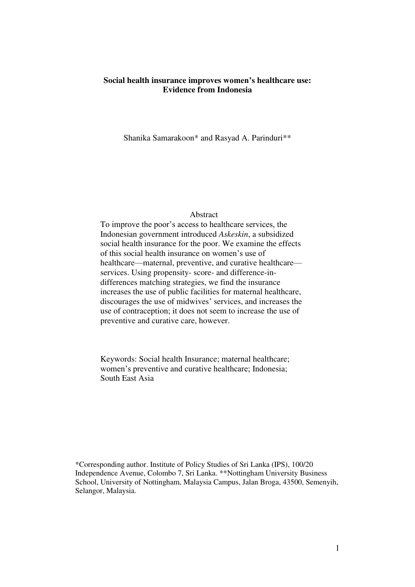## **Social health insurance improves women's healthcare use: Evidence from Indonesia**

Shanika Samarakoon\* and Rasyad A. Parinduri\*\*

#### Abstract

To improve the poor's access to healthcare services, the Indonesian government introduced *Askeskin*, a subsidized social health insurance for the poor. We examine the effects of this social health insurance on women's use of healthcare—maternal, preventive, and curative healthcare services. Using propensity- score- and difference-indifferences matching strategies, we find the insurance increases the use of public facilities for maternal healthcare, discourages the use of midwives' services, and increases the use of contraception; it does not seem to increase the use of preventive and curative care, however.

Keywords: Social health Insurance; maternal healthcare; women's preventive and curative healthcare; Indonesia; South East Asia

\*Corresponding author. Institute of Policy Studies of Sri Lanka (IPS), 100/20 Independence Avenue, Colombo 7, Sri Lanka. \*\*Nottingham University Business School, University of Nottingham, Malaysia Campus, Jalan Broga, 43500, Semenyih, Selangor, Malaysia.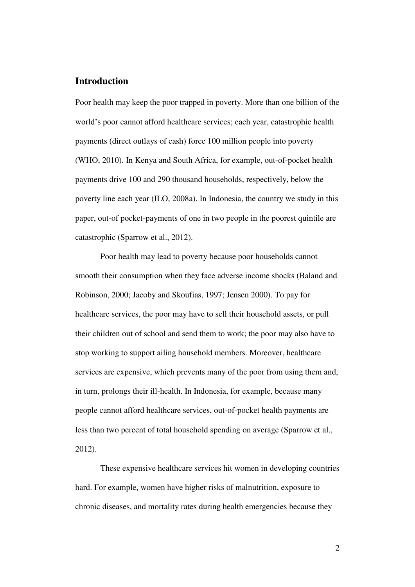## **Introduction**

Poor health may keep the poor trapped in poverty. More than one billion of the world's poor cannot afford healthcare services; each year, catastrophic health payments (direct outlays of cash) force 100 million people into poverty (WHO, 2010). In Kenya and South Africa, for example, out-of-pocket health payments drive 100 and 290 thousand households, respectively, below the poverty line each year (ILO, 2008a). In Indonesia, the country we study in this paper, out-of pocket-payments of one in two people in the poorest quintile are catastrophic (Sparrow et al., 2012).

Poor health may lead to poverty because poor households cannot smooth their consumption when they face adverse income shocks (Baland and Robinson, 2000; Jacoby and Skoufias, 1997; Jensen 2000). To pay for healthcare services, the poor may have to sell their household assets, or pull their children out of school and send them to work; the poor may also have to stop working to support ailing household members. Moreover, healthcare services are expensive, which prevents many of the poor from using them and, in turn, prolongs their ill-health. In Indonesia, for example, because many people cannot afford healthcare services, out-of-pocket health payments are less than two percent of total household spending on average (Sparrow et al., 2012).

These expensive healthcare services hit women in developing countries hard. For example, women have higher risks of malnutrition, exposure to chronic diseases, and mortality rates during health emergencies because they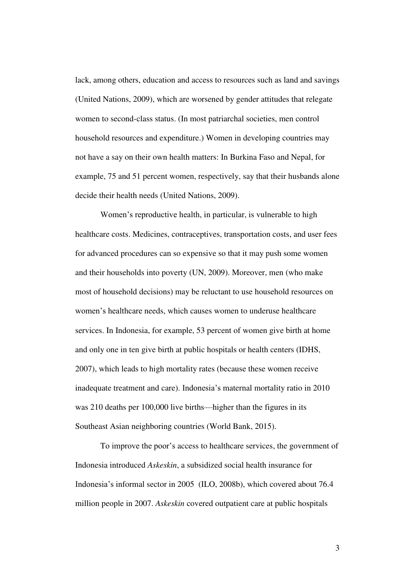lack, among others, education and access to resources such as land and savings (United Nations, 2009), which are worsened by gender attitudes that relegate women to second-class status. (In most patriarchal societies, men control household resources and expenditure.) Women in developing countries may not have a say on their own health matters: In Burkina Faso and Nepal, for example, 75 and 51 percent women, respectively, say that their husbands alone decide their health needs (United Nations, 2009).

Women's reproductive health, in particular, is vulnerable to high healthcare costs. Medicines, contraceptives, transportation costs, and user fees for advanced procedures can so expensive so that it may push some women and their households into poverty (UN, 2009). Moreover, men (who make most of household decisions) may be reluctant to use household resources on women's healthcare needs, which causes women to underuse healthcare services. In Indonesia, for example, 53 percent of women give birth at home and only one in ten give birth at public hospitals or health centers (IDHS, 2007), which leads to high mortality rates (because these women receive inadequate treatment and care). Indonesia's maternal mortality ratio in 2010 was 210 deaths per 100,000 live births—higher than the figures in its Southeast Asian neighboring countries (World Bank, 2015).

To improve the poor's access to healthcare services, the government of Indonesia introduced *Askeskin*, a subsidized social health insurance for Indonesia's informal sector in 2005 (ILO, 2008b), which covered about 76.4 million people in 2007. *Askeskin* covered outpatient care at public hospitals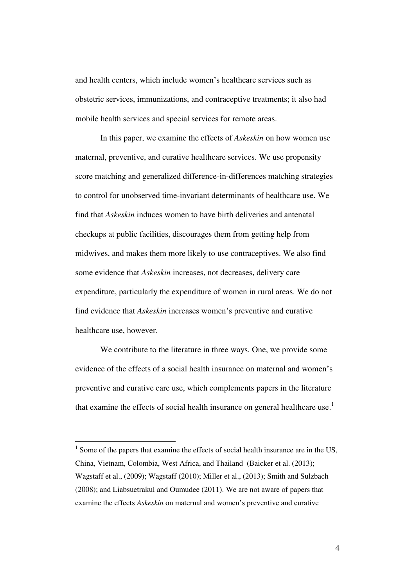and health centers, which include women's healthcare services such as obstetric services, immunizations, and contraceptive treatments; it also had mobile health services and special services for remote areas.

In this paper, we examine the effects of *Askeskin* on how women use maternal, preventive, and curative healthcare services. We use propensity score matching and generalized difference-in-differences matching strategies to control for unobserved time-invariant determinants of healthcare use. We find that *Askeskin* induces women to have birth deliveries and antenatal checkups at public facilities, discourages them from getting help from midwives, and makes them more likely to use contraceptives. We also find some evidence that *Askeskin* increases, not decreases, delivery care expenditure, particularly the expenditure of women in rural areas. We do not find evidence that *Askeskin* increases women's preventive and curative healthcare use, however.

We contribute to the literature in three ways. One, we provide some evidence of the effects of a social health insurance on maternal and women's preventive and curative care use, which complements papers in the literature that examine the effects of social health insurance on general healthcare use.<sup>1</sup>

 $\overline{a}$ 

 $<sup>1</sup>$  Some of the papers that examine the effects of social health insurance are in the US,</sup> China, Vietnam, Colombia, West Africa, and Thailand (Baicker et al. (2013); Wagstaff et al., (2009); Wagstaff (2010); Miller et al., (2013); Smith and Sulzbach (2008); and Liabsuetrakul and Oumudee (2011). We are not aware of papers that examine the effects *Askeskin* on maternal and women's preventive and curative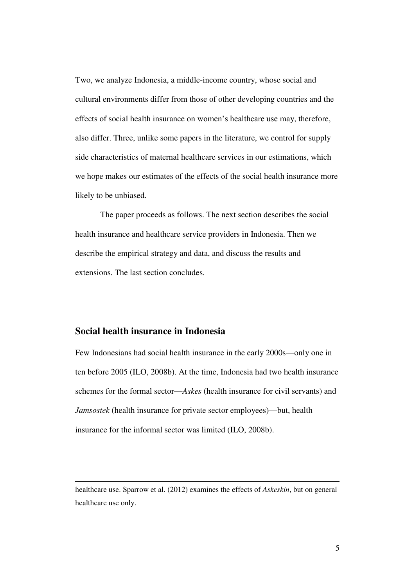Two, we analyze Indonesia, a middle-income country, whose social and cultural environments differ from those of other developing countries and the effects of social health insurance on women's healthcare use may, therefore, also differ. Three, unlike some papers in the literature, we control for supply side characteristics of maternal healthcare services in our estimations, which we hope makes our estimates of the effects of the social health insurance more likely to be unbiased.

The paper proceeds as follows. The next section describes the social health insurance and healthcare service providers in Indonesia. Then we describe the empirical strategy and data, and discuss the results and extensions. The last section concludes.

## **Social health insurance in Indonesia**

 $\overline{a}$ 

Few Indonesians had social health insurance in the early 2000s—only one in ten before 2005 (ILO, 2008b). At the time, Indonesia had two health insurance schemes for the formal sector—*Askes* (health insurance for civil servants) and *Jamsostek* (health insurance for private sector employees)—but, health insurance for the informal sector was limited (ILO, 2008b).

healthcare use. Sparrow et al. (2012) examines the effects of *Askeskin*, but on general healthcare use only.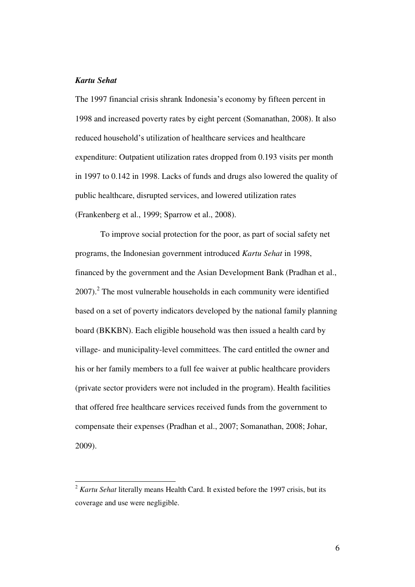## *Kartu Sehat*

 $\overline{a}$ 

The 1997 financial crisis shrank Indonesia's economy by fifteen percent in 1998 and increased poverty rates by eight percent (Somanathan, 2008). It also reduced household's utilization of healthcare services and healthcare expenditure: Outpatient utilization rates dropped from 0.193 visits per month in 1997 to 0.142 in 1998. Lacks of funds and drugs also lowered the quality of public healthcare, disrupted services, and lowered utilization rates (Frankenberg et al., 1999; Sparrow et al., 2008).

To improve social protection for the poor, as part of social safety net programs, the Indonesian government introduced *Kartu Sehat* in 1998, financed by the government and the Asian Development Bank (Pradhan et al.,  $2007$ ).<sup>2</sup> The most vulnerable households in each community were identified based on a set of poverty indicators developed by the national family planning board (BKKBN). Each eligible household was then issued a health card by village- and municipality-level committees. The card entitled the owner and his or her family members to a full fee waiver at public healthcare providers (private sector providers were not included in the program). Health facilities that offered free healthcare services received funds from the government to compensate their expenses (Pradhan et al., 2007; Somanathan, 2008; Johar, 2009).

<sup>&</sup>lt;sup>2</sup> *Kartu Sehat* literally means Health Card. It existed before the 1997 crisis, but its coverage and use were negligible.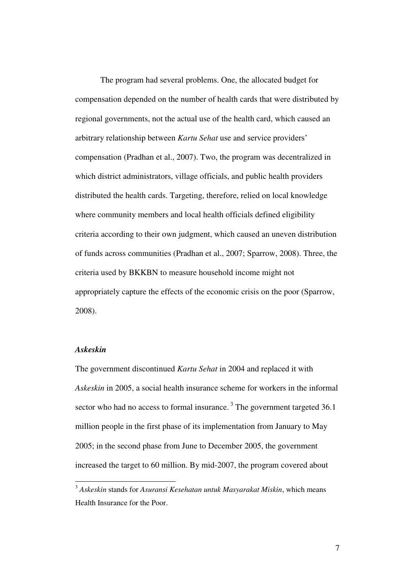The program had several problems. One, the allocated budget for compensation depended on the number of health cards that were distributed by regional governments, not the actual use of the health card, which caused an arbitrary relationship between *Kartu Sehat* use and service providers' compensation (Pradhan et al., 2007). Two, the program was decentralized in which district administrators, village officials, and public health providers distributed the health cards. Targeting, therefore, relied on local knowledge where community members and local health officials defined eligibility criteria according to their own judgment, which caused an uneven distribution of funds across communities (Pradhan et al., 2007; Sparrow, 2008). Three, the criteria used by BKKBN to measure household income might not appropriately capture the effects of the economic crisis on the poor (Sparrow, 2008).

## *Askeskin*

 $\overline{a}$ 

The government discontinued *Kartu Sehat* in 2004 and replaced it with *Askeskin* in 2005, a social health insurance scheme for workers in the informal sector who had no access to formal insurance.<sup>3</sup> The government targeted  $36.1$ million people in the first phase of its implementation from January to May 2005; in the second phase from June to December 2005, the government increased the target to 60 million. By mid-2007, the program covered about

<sup>3</sup> *Askeskin* stands for *Asuransi Kesehatan untuk Masyarakat Miskin*, which means Health Insurance for the Poor.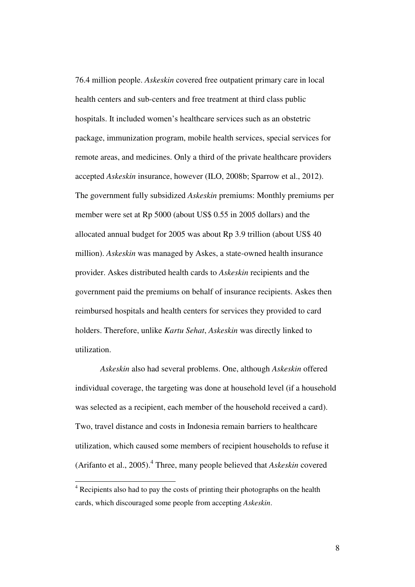76.4 million people. *Askeskin* covered free outpatient primary care in local health centers and sub-centers and free treatment at third class public hospitals. It included women's healthcare services such as an obstetric package, immunization program, mobile health services, special services for remote areas, and medicines. Only a third of the private healthcare providers accepted *Askeskin* insurance, however (ILO, 2008b; Sparrow et al., 2012). The government fully subsidized *Askeskin* premiums: Monthly premiums per member were set at Rp 5000 (about US\$ 0.55 in 2005 dollars) and the allocated annual budget for 2005 was about Rp 3.9 trillion (about US\$ 40 million). *Askeskin* was managed by Askes, a state-owned health insurance provider. Askes distributed health cards to *Askeskin* recipients and the government paid the premiums on behalf of insurance recipients. Askes then reimbursed hospitals and health centers for services they provided to card holders. Therefore, unlike *Kartu Sehat*, *Askeskin* was directly linked to utilization.

*Askeskin* also had several problems. One, although *Askeskin* offered individual coverage, the targeting was done at household level (if a household was selected as a recipient, each member of the household received a card). Two, travel distance and costs in Indonesia remain barriers to healthcare utilization, which caused some members of recipient households to refuse it (Arifanto et al., 2005).<sup>4</sup> Three, many people believed that *Askeskin* covered

 $\overline{a}$ 

<sup>&</sup>lt;sup>4</sup> Recipients also had to pay the costs of printing their photographs on the health cards, which discouraged some people from accepting *Askeskin*.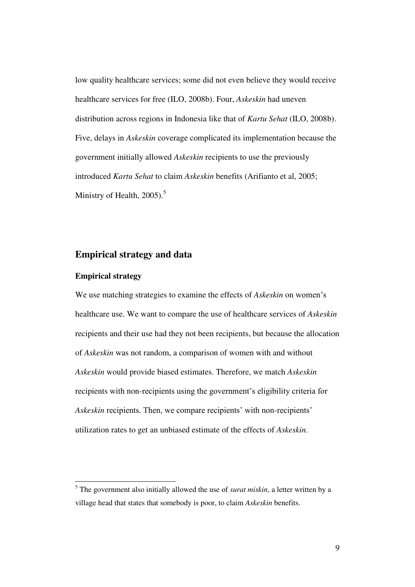low quality healthcare services; some did not even believe they would receive healthcare services for free (ILO, 2008b). Four, *Askeskin* had uneven distribution across regions in Indonesia like that of *Kartu Sehat* (ILO, 2008b). Five, delays in *Askeskin* coverage complicated its implementation because the government initially allowed *Askeskin* recipients to use the previously introduced *Kartu Sehat* to claim *Askeskin* benefits (Arifianto et al, 2005; Ministry of Health,  $2005$ .<sup>5</sup>

## **Empirical strategy and data**

#### **Empirical strategy**

 $\overline{a}$ 

We use matching strategies to examine the effects of *Askeskin* on women's healthcare use. We want to compare the use of healthcare services of *Askeskin* recipients and their use had they not been recipients, but because the allocation of *Askeskin* was not random, a comparison of women with and without *Askeskin* would provide biased estimates. Therefore, we match *Askeskin* recipients with non-recipients using the government's eligibility criteria for *Askeskin* recipients. Then, we compare recipients' with non-recipients' utilization rates to get an unbiased estimate of the effects of *Askeskin*.

<sup>&</sup>lt;sup>5</sup> The government also initially allowed the use of *surat miskin*, a letter written by a village head that states that somebody is poor, to claim *Askeskin* benefits.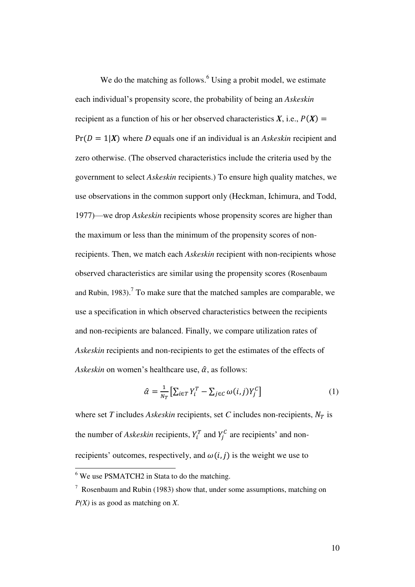We do the matching as follows.<sup>6</sup> Using a probit model, we estimate each individual's propensity score, the probability of being an *Askeskin* recipient as a function of his or her observed characteristics  $X$ , i.e.,  $P(X) =$  $Pr(D = 1|X)$  where *D* equals one if an individual is an *Askeskin* recipient and zero otherwise. (The observed characteristics include the criteria used by the government to select *Askeskin* recipients.) To ensure high quality matches, we use observations in the common support only (Heckman, Ichimura, and Todd, 1977)—we drop *Askeskin* recipients whose propensity scores are higher than the maximum or less than the minimum of the propensity scores of nonrecipients. Then, we match each *Askeskin* recipient with non-recipients whose observed characteristics are similar using the propensity scores (Rosenbaum and Rubin,  $1983$ ).<sup>7</sup> To make sure that the matched samples are comparable, we use a specification in which observed characteristics between the recipients and non-recipients are balanced. Finally, we compare utilization rates of *Askeskin* recipients and non-recipients to get the estimates of the effects of *Askeskin* on women's healthcare use,  $\hat{\alpha}$ , as follows:

$$
\hat{\alpha} = \frac{1}{N_T} \left[ \sum_{i \in T} Y_i^T - \sum_{j \in C} \omega(i, j) Y_j^C \right] \tag{1}
$$

where set *T* includes *Askeskin* recipients, set *C* includes non-recipients,  $N_T$  is the number of *Askeskin* recipients,  $Y_i^T$  and  $Y_j^C$  are recipients' and nonrecipients' outcomes, respectively, and  $\omega(i, j)$  is the weight we use to

 $\overline{a}$ 

<sup>&</sup>lt;sup>6</sup> We use PSMATCH2 in Stata to do the matching.

 $7$  Rosenbaum and Rubin (1983) show that, under some assumptions, matching on *P(X)* is as good as matching on *X*.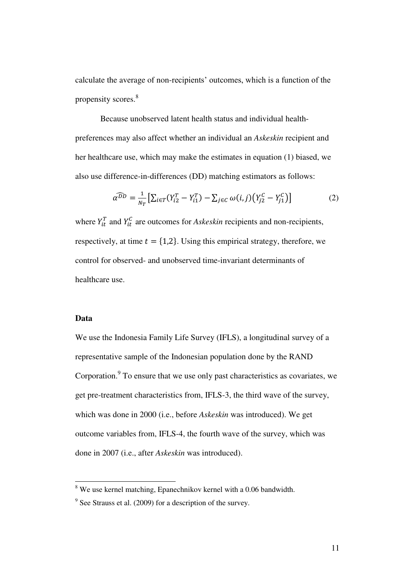calculate the average of non-recipients' outcomes, which is a function of the propensity scores.<sup>8</sup>

Because unobserved latent health status and individual healthpreferences may also affect whether an individual an *Askeskin* recipient and her healthcare use, which may make the estimates in equation (1) biased, we also use difference-in-differences (DD) matching estimators as follows:

$$
\widehat{\alpha^{DD}} = \frac{1}{N_T} \left[ \sum_{i \in T} (Y_{i2}^T - Y_{i1}^T) - \sum_{j \in C} \omega(i, j) \left( Y_{j2}^C - Y_{j1}^C \right) \right]
$$
(2)

where  $Y_{it}^T$  and  $Y_{it}^C$  are outcomes for *Askeskin* recipients and non-recipients, respectively, at time  $t = \{1,2\}$ . Using this empirical strategy, therefore, we control for observed- and unobserved time-invariant determinants of healthcare use.

## **Data**

 $\overline{a}$ 

We use the Indonesia Family Life Survey (IFLS), a longitudinal survey of a representative sample of the Indonesian population done by the RAND Corporation.<sup>9</sup> To ensure that we use only past characteristics as covariates, we get pre-treatment characteristics from, IFLS-3, the third wave of the survey, which was done in 2000 (i.e., before *Askeskin* was introduced). We get outcome variables from, IFLS-4, the fourth wave of the survey, which was done in 2007 (i.e., after *Askeskin* was introduced).

<sup>&</sup>lt;sup>8</sup> We use kernel matching, Epanechnikov kernel with a 0.06 bandwidth.

 $9^9$  See Strauss et al. (2009) for a description of the survey.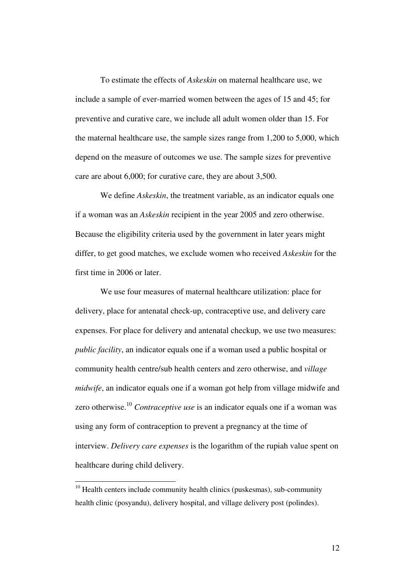To estimate the effects of *Askeskin* on maternal healthcare use, we include a sample of ever-married women between the ages of 15 and 45; for preventive and curative care, we include all adult women older than 15. For the maternal healthcare use, the sample sizes range from 1,200 to 5,000, which depend on the measure of outcomes we use. The sample sizes for preventive care are about 6,000; for curative care, they are about 3,500.

We define *Askeskin*, the treatment variable, as an indicator equals one if a woman was an *Askeskin* recipient in the year 2005 and zero otherwise. Because the eligibility criteria used by the government in later years might differ, to get good matches, we exclude women who received *Askeskin* for the first time in 2006 or later.

We use four measures of maternal healthcare utilization: place for delivery, place for antenatal check-up, contraceptive use, and delivery care expenses. For place for delivery and antenatal checkup, we use two measures: *public facility*, an indicator equals one if a woman used a public hospital or community health centre/sub health centers and zero otherwise, and *village midwife*, an indicator equals one if a woman got help from village midwife and zero otherwise.<sup>10</sup> *Contraceptive use* is an indicator equals one if a woman was using any form of contraception to prevent a pregnancy at the time of interview. *Delivery care expenses* is the logarithm of the rupiah value spent on healthcare during child delivery.

 $\overline{a}$ 

 $10$  Health centers include community health clinics (puskesmas), sub-community health clinic (posyandu), delivery hospital, and village delivery post (polindes).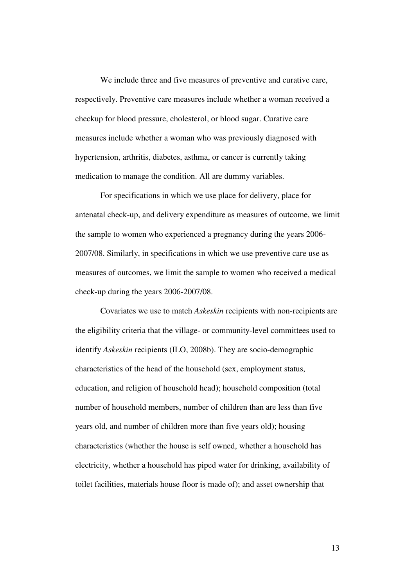We include three and five measures of preventive and curative care, respectively. Preventive care measures include whether a woman received a checkup for blood pressure, cholesterol, or blood sugar. Curative care measures include whether a woman who was previously diagnosed with hypertension, arthritis, diabetes, asthma, or cancer is currently taking medication to manage the condition. All are dummy variables.

For specifications in which we use place for delivery, place for antenatal check-up, and delivery expenditure as measures of outcome, we limit the sample to women who experienced a pregnancy during the years 2006- 2007/08. Similarly, in specifications in which we use preventive care use as measures of outcomes, we limit the sample to women who received a medical check-up during the years 2006-2007/08.

Covariates we use to match *Askeskin* recipients with non-recipients are the eligibility criteria that the village- or community-level committees used to identify *Askeskin* recipients (ILO, 2008b). They are socio-demographic characteristics of the head of the household (sex, employment status, education, and religion of household head); household composition (total number of household members, number of children than are less than five years old, and number of children more than five years old); housing characteristics (whether the house is self owned, whether a household has electricity, whether a household has piped water for drinking, availability of toilet facilities, materials house floor is made of); and asset ownership that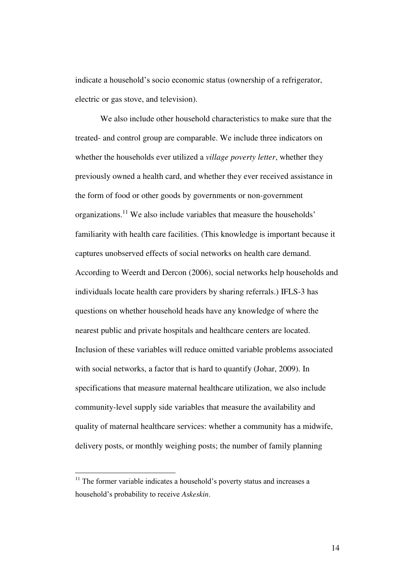indicate a household's socio economic status (ownership of a refrigerator, electric or gas stove, and television).

We also include other household characteristics to make sure that the treated- and control group are comparable. We include three indicators on whether the households ever utilized a *village poverty letter*, whether they previously owned a health card, and whether they ever received assistance in the form of food or other goods by governments or non-government organizations.<sup>11</sup> We also include variables that measure the households' familiarity with health care facilities. (This knowledge is important because it captures unobserved effects of social networks on health care demand. According to Weerdt and Dercon (2006), social networks help households and individuals locate health care providers by sharing referrals.) IFLS-3 has questions on whether household heads have any knowledge of where the nearest public and private hospitals and healthcare centers are located. Inclusion of these variables will reduce omitted variable problems associated with social networks, a factor that is hard to quantify (Johar, 2009). In specifications that measure maternal healthcare utilization, we also include community-level supply side variables that measure the availability and quality of maternal healthcare services: whether a community has a midwife, delivery posts, or monthly weighing posts; the number of family planning

 $\overline{a}$ 

 $11$  The former variable indicates a household's poverty status and increases a household's probability to receive *Askeskin*.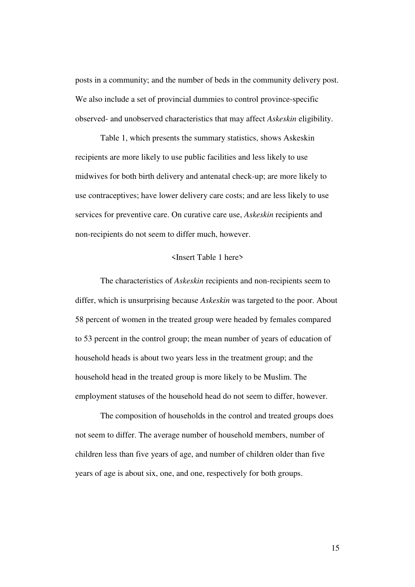posts in a community; and the number of beds in the community delivery post. We also include a set of provincial dummies to control province-specific observed- and unobserved characteristics that may affect *Askeskin* eligibility.

Table 1, which presents the summary statistics, shows Askeskin recipients are more likely to use public facilities and less likely to use midwives for both birth delivery and antenatal check-up; are more likely to use contraceptives; have lower delivery care costs; and are less likely to use services for preventive care. On curative care use, *Askeskin* recipients and non-recipients do not seem to differ much, however.

## <Insert Table 1 here>

The characteristics of *Askeskin* recipients and non-recipients seem to differ, which is unsurprising because *Askeskin* was targeted to the poor. About 58 percent of women in the treated group were headed by females compared to 53 percent in the control group; the mean number of years of education of household heads is about two years less in the treatment group; and the household head in the treated group is more likely to be Muslim. The employment statuses of the household head do not seem to differ, however.

The composition of households in the control and treated groups does not seem to differ. The average number of household members, number of children less than five years of age, and number of children older than five years of age is about six, one, and one, respectively for both groups.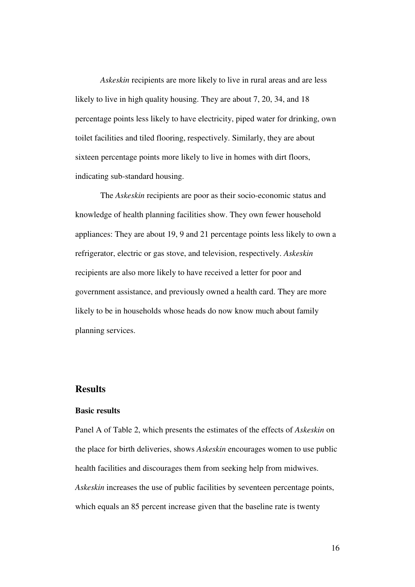*Askeskin* recipients are more likely to live in rural areas and are less likely to live in high quality housing. They are about 7, 20, 34, and 18 percentage points less likely to have electricity, piped water for drinking, own toilet facilities and tiled flooring, respectively. Similarly, they are about sixteen percentage points more likely to live in homes with dirt floors, indicating sub-standard housing.

The *Askeskin* recipients are poor as their socio-economic status and knowledge of health planning facilities show. They own fewer household appliances: They are about 19, 9 and 21 percentage points less likely to own a refrigerator, electric or gas stove, and television, respectively. *Askeskin* recipients are also more likely to have received a letter for poor and government assistance, and previously owned a health card. They are more likely to be in households whose heads do now know much about family planning services.

## **Results**

#### **Basic results**

Panel A of Table 2, which presents the estimates of the effects of *Askeskin* on the place for birth deliveries, shows *Askeskin* encourages women to use public health facilities and discourages them from seeking help from midwives. *Askeskin* increases the use of public facilities by seventeen percentage points, which equals an 85 percent increase given that the baseline rate is twenty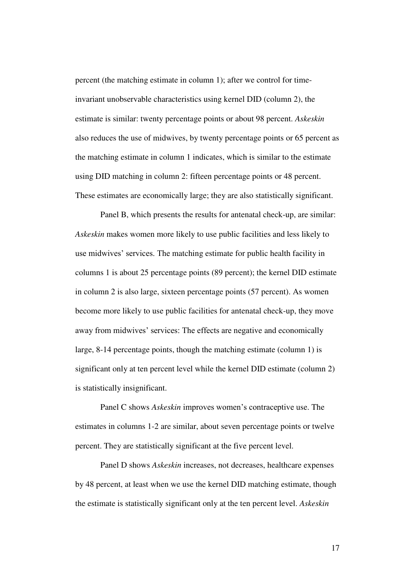percent (the matching estimate in column 1); after we control for timeinvariant unobservable characteristics using kernel DID (column 2), the estimate is similar: twenty percentage points or about 98 percent. *Askeskin* also reduces the use of midwives, by twenty percentage points or 65 percent as the matching estimate in column 1 indicates, which is similar to the estimate using DID matching in column 2: fifteen percentage points or 48 percent. These estimates are economically large; they are also statistically significant.

Panel B, which presents the results for antenatal check-up, are similar: *Askeskin* makes women more likely to use public facilities and less likely to use midwives' services. The matching estimate for public health facility in columns 1 is about 25 percentage points (89 percent); the kernel DID estimate in column 2 is also large, sixteen percentage points (57 percent). As women become more likely to use public facilities for antenatal check-up, they move away from midwives' services: The effects are negative and economically large, 8-14 percentage points, though the matching estimate (column 1) is significant only at ten percent level while the kernel DID estimate (column 2) is statistically insignificant.

Panel C shows *Askeskin* improves women's contraceptive use. The estimates in columns 1-2 are similar, about seven percentage points or twelve percent. They are statistically significant at the five percent level.

Panel D shows *Askeskin* increases, not decreases, healthcare expenses by 48 percent, at least when we use the kernel DID matching estimate, though the estimate is statistically significant only at the ten percent level. *Askeskin*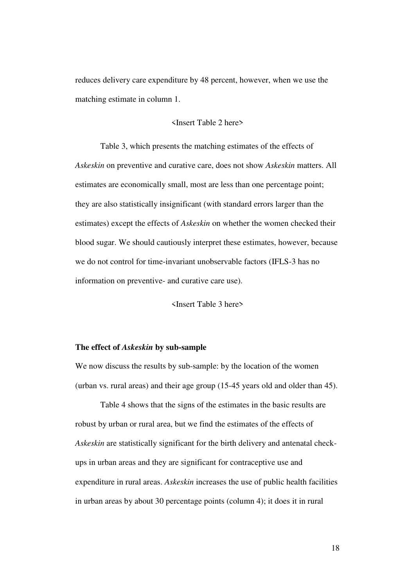reduces delivery care expenditure by 48 percent, however, when we use the matching estimate in column 1.

#### <Insert Table 2 here>

Table 3, which presents the matching estimates of the effects of *Askeskin* on preventive and curative care, does not show *Askeskin* matters. All estimates are economically small, most are less than one percentage point; they are also statistically insignificant (with standard errors larger than the estimates) except the effects of *Askeskin* on whether the women checked their blood sugar. We should cautiously interpret these estimates, however, because we do not control for time-invariant unobservable factors (IFLS-3 has no information on preventive- and curative care use).

<Insert Table 3 here>

#### **The effect of** *Askeskin* **by sub-sample**

We now discuss the results by sub-sample: by the location of the women (urban vs. rural areas) and their age group (15-45 years old and older than 45).

Table 4 shows that the signs of the estimates in the basic results are robust by urban or rural area, but we find the estimates of the effects of *Askeskin* are statistically significant for the birth delivery and antenatal checkups in urban areas and they are significant for contraceptive use and expenditure in rural areas. *Askeskin* increases the use of public health facilities in urban areas by about 30 percentage points (column 4); it does it in rural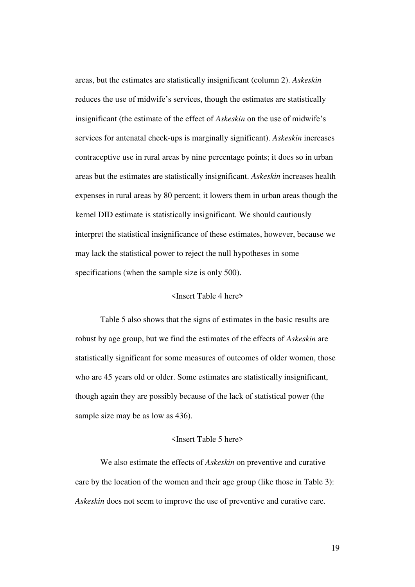areas, but the estimates are statistically insignificant (column 2). *Askeskin* reduces the use of midwife's services, though the estimates are statistically insignificant (the estimate of the effect of *Askeskin* on the use of midwife's services for antenatal check-ups is marginally significant). *Askeskin* increases contraceptive use in rural areas by nine percentage points; it does so in urban areas but the estimates are statistically insignificant. *Askeskin* increases health expenses in rural areas by 80 percent; it lowers them in urban areas though the kernel DID estimate is statistically insignificant. We should cautiously interpret the statistical insignificance of these estimates, however, because we may lack the statistical power to reject the null hypotheses in some specifications (when the sample size is only 500).

#### <Insert Table 4 here>

Table 5 also shows that the signs of estimates in the basic results are robust by age group, but we find the estimates of the effects of *Askeskin* are statistically significant for some measures of outcomes of older women, those who are 45 years old or older. Some estimates are statistically insignificant, though again they are possibly because of the lack of statistical power (the sample size may be as low as 436).

## <Insert Table 5 here>

We also estimate the effects of *Askeskin* on preventive and curative care by the location of the women and their age group (like those in Table 3): *Askeskin* does not seem to improve the use of preventive and curative care.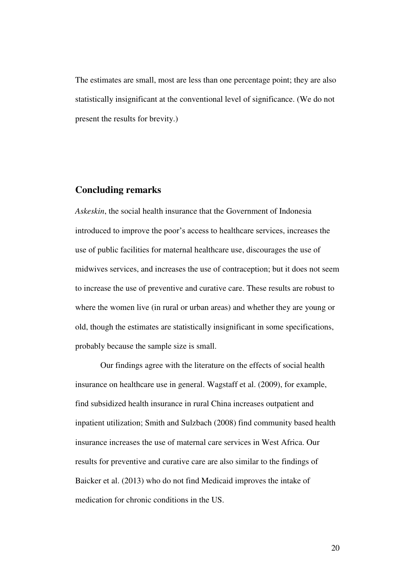The estimates are small, most are less than one percentage point; they are also statistically insignificant at the conventional level of significance. (We do not present the results for brevity.)

## **Concluding remarks**

*Askeskin*, the social health insurance that the Government of Indonesia introduced to improve the poor's access to healthcare services, increases the use of public facilities for maternal healthcare use, discourages the use of midwives services, and increases the use of contraception; but it does not seem to increase the use of preventive and curative care. These results are robust to where the women live (in rural or urban areas) and whether they are young or old, though the estimates are statistically insignificant in some specifications, probably because the sample size is small.

Our findings agree with the literature on the effects of social health insurance on healthcare use in general. Wagstaff et al. (2009), for example, find subsidized health insurance in rural China increases outpatient and inpatient utilization; Smith and Sulzbach (2008) find community based health insurance increases the use of maternal care services in West Africa. Our results for preventive and curative care are also similar to the findings of Baicker et al. (2013) who do not find Medicaid improves the intake of medication for chronic conditions in the US.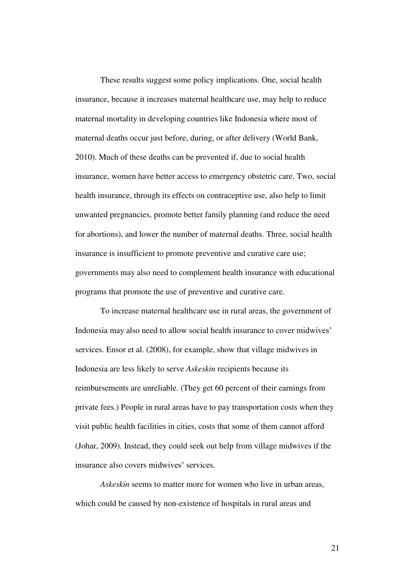These results suggest some policy implications. One, social health insurance, because it increases maternal healthcare use, may help to reduce maternal mortality in developing countries like Indonesia where most of maternal deaths occur just before, during, or after delivery (World Bank, 2010). Much of these deaths can be prevented if, due to social health insurance, women have better access to emergency obstetric care. Two, social health insurance, through its effects on contraceptive use, also help to limit unwanted pregnancies, promote better family planning (and reduce the need for abortions), and lower the number of maternal deaths. Three, social health insurance is insufficient to promote preventive and curative care use; governments may also need to complement health insurance with educational programs that promote the use of preventive and curative care.

To increase maternal healthcare use in rural areas, the government of Indonesia may also need to allow social health insurance to cover midwives' services. Ensor et al. (2008), for example, show that village midwives in Indonesia are less likely to serve *Askeskin* recipients because its reimbursements are unreliable. (They get 60 percent of their earnings from private fees.) People in rural areas have to pay transportation costs when they visit public health facilities in cities, costs that some of them cannot afford (Johar, 2009). Instead, they could seek out help from village midwives if the insurance also covers midwives' services.

*Askeskin* seems to matter more for women who live in urban areas, which could be caused by non-existence of hospitals in rural areas and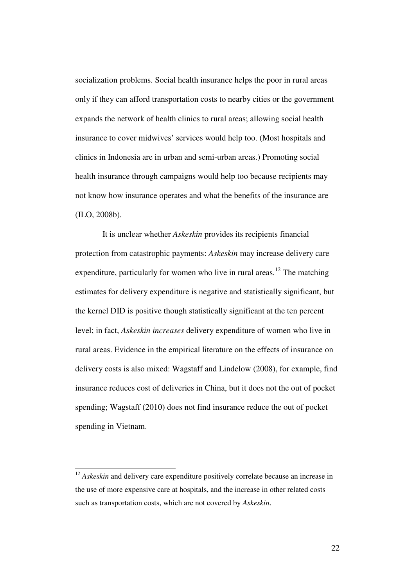socialization problems. Social health insurance helps the poor in rural areas only if they can afford transportation costs to nearby cities or the government expands the network of health clinics to rural areas; allowing social health insurance to cover midwives' services would help too. (Most hospitals and clinics in Indonesia are in urban and semi-urban areas.) Promoting social health insurance through campaigns would help too because recipients may not know how insurance operates and what the benefits of the insurance are (ILO, 2008b).

 It is unclear whether *Askeskin* provides its recipients financial protection from catastrophic payments: *Askeskin* may increase delivery care expenditure, particularly for women who live in rural areas.<sup>12</sup> The matching estimates for delivery expenditure is negative and statistically significant, but the kernel DID is positive though statistically significant at the ten percent level; in fact, *Askeskin increases* delivery expenditure of women who live in rural areas. Evidence in the empirical literature on the effects of insurance on delivery costs is also mixed: Wagstaff and Lindelow (2008), for example, find insurance reduces cost of deliveries in China, but it does not the out of pocket spending; Wagstaff (2010) does not find insurance reduce the out of pocket spending in Vietnam.

 $\overline{a}$ 

<sup>&</sup>lt;sup>12</sup> *Askeskin* and delivery care expenditure positively correlate because an increase in the use of more expensive care at hospitals, and the increase in other related costs such as transportation costs, which are not covered by *Askeskin*.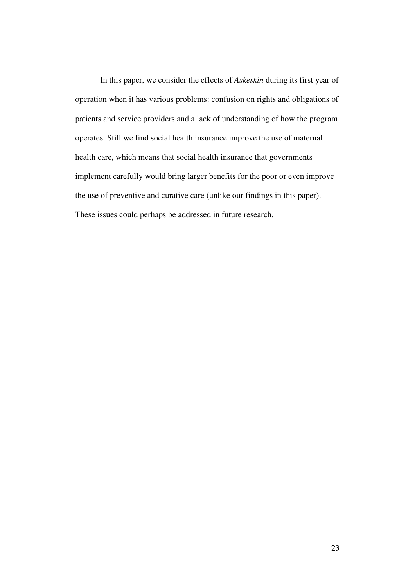In this paper, we consider the effects of *Askeskin* during its first year of operation when it has various problems: confusion on rights and obligations of patients and service providers and a lack of understanding of how the program operates. Still we find social health insurance improve the use of maternal health care, which means that social health insurance that governments implement carefully would bring larger benefits for the poor or even improve the use of preventive and curative care (unlike our findings in this paper). These issues could perhaps be addressed in future research.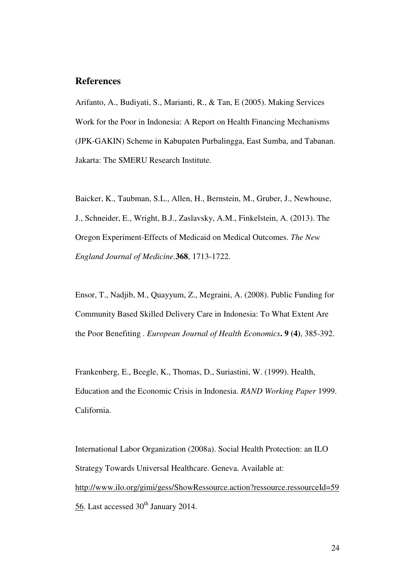## **References**

Arifanto, A., Budiyati, S., Marianti, R., & Tan, E (2005). Making Services Work for the Poor in Indonesia: A Report on Health Financing Mechanisms (JPK-GAKIN) Scheme in Kabupaten Purbalingga, East Sumba, and Tabanan. Jakarta: The SMERU Research Institute.

Baicker, K., Taubman, S.L., Allen, H., Bernstein, M., Gruber, J., Newhouse, J., Schneider, E., Wright, B.J., Zaslavsky, A.M., Finkelstein, A. (2013). The Oregon Experiment-Effects of Medicaid on Medical Outcomes. *The New England Journal of Medicine.***368**, 1713-1722.

Ensor, T., Nadjib, M., Quayyum, Z., Megraini, A. (2008). Public Funding for Community Based Skilled Delivery Care in Indonesia: To What Extent Are the Poor Benefiting . *European Journal of Health Economics***. 9 (4)**, 385-392.

Frankenberg, E., Beegle, K., Thomas, D., Suriastini, W. (1999). Health, Education and the Economic Crisis in Indonesia. *RAND Working Paper* 1999. California.

International Labor Organization (2008a). Social Health Protection: an ILO Strategy Towards Universal Healthcare. Geneva. Available at: [http://www.ilo.org/gimi/gess/ShowRessource.action?ressource.ressourceId=59](http://www.ilo.org/gimi/gess/ShowRessource.action?ressource.ressourceId=5956) [56.](http://www.ilo.org/gimi/gess/ShowRessource.action?ressource.ressourceId=5956) Last accessed  $30<sup>th</sup>$  January 2014.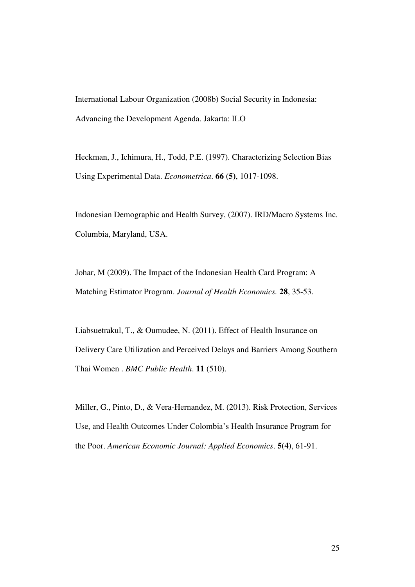International Labour Organization (2008b) Social Security in Indonesia: Advancing the Development Agenda. Jakarta: ILO

Heckman, J., Ichimura, H., Todd, P.E. (1997). Characterizing Selection Bias Using Experimental Data. *Econometrica*. **66 (5)**, 1017-1098.

Indonesian Demographic and Health Survey, (2007). IRD/Macro Systems Inc. Columbia, Maryland, USA.

Johar, M (2009). The Impact of the Indonesian Health Card Program: A Matching Estimator Program. *Journal of Health Economics.* **28**, 35-53.

Liabsuetrakul, T., & Oumudee, N. (2011). Effect of Health Insurance on Delivery Care Utilization and Perceived Delays and Barriers Among Southern Thai Women . *BMC Public Health*. **11** (510).

Miller, G., Pinto, D., & Vera-Hernandez, M. (2013). Risk Protection, Services Use, and Health Outcomes Under Colombia's Health Insurance Program for the Poor. *American Economic Journal: Applied Economics*. **5(4)**, 61-91.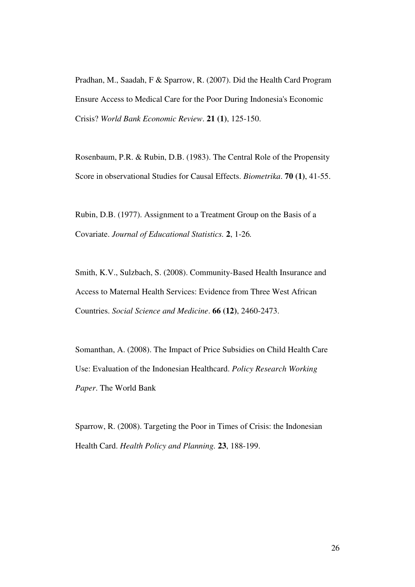Pradhan, M., Saadah, F & Sparrow, R. (2007). Did the Health Card Program Ensure Access to Medical Care for the Poor During Indonesia's Economic Crisis? *World Bank Economic Review*. **21 (1)**, 125-150.

Rosenbaum, P.R. & Rubin, D.B. (1983). The Central Role of the Propensity Score in observational Studies for Causal Effects. *Biometrika*. **70 (1)**, 41-55.

Rubin, D.B. (1977). Assignment to a Treatment Group on the Basis of a Covariate. *Journal of Educational Statistics.* **2**, 1-26*.* 

Smith, K.V., Sulzbach, S. (2008). Community-Based Health Insurance and Access to Maternal Health Services: Evidence from Three West African Countries. *Social Science and Medicine*. **66 (12)**, 2460-2473.

Somanthan, A. (2008). The Impact of Price Subsidies on Child Health Care Use: Evaluation of the Indonesian Healthcard. *Policy Research Working Paper*. The World Bank

Sparrow, R. (2008). Targeting the Poor in Times of Crisis: the Indonesian Health Card. *Health Policy and Planning.* **23**, 188-199.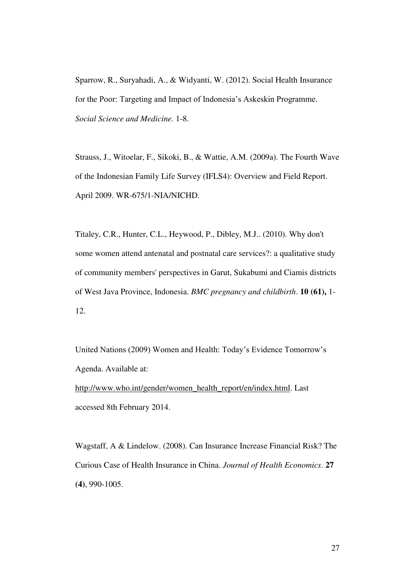Sparrow, R., Suryahadi, A., & Widyanti, W. (2012). Social Health Insurance for the Poor: Targeting and Impact of Indonesia's Askeskin Programme. *Social Science and Medicine.* 1-8.

Strauss, J., Witoelar, F., Sikoki, B., & Wattie, A.M. (2009a). The Fourth Wave of the Indonesian Family Life Survey (IFLS4): Overview and Field Report. April 2009. WR-675/1-NIA/NICHD.

Titaley, C.R., Hunter, C.L., Heywood, P., Dibley, M.J.. (2010). Why don't some women attend antenatal and postnatal care services?: a qualitative study of community members' perspectives in Garut, Sukabumi and Ciamis districts of West Java Province, Indonesia. *BMC pregnancy and childbirth*. **10 (61),** 1- 12.

United Nations (2009) Women and Health: Today's Evidence Tomorrow's Agenda. Available at:

[http://www.who.int/gender/women\\_health\\_report/en/index.html.](http://www.who.int/gender/women_health_report/en/index.html) Last accessed 8th February 2014.

Wagstaff, A & Lindelow. (2008). Can Insurance Increase Financial Risk? The Curious Case of Health Insurance in China. *Journal of Health Economics*. **27 (4)**, 990-1005.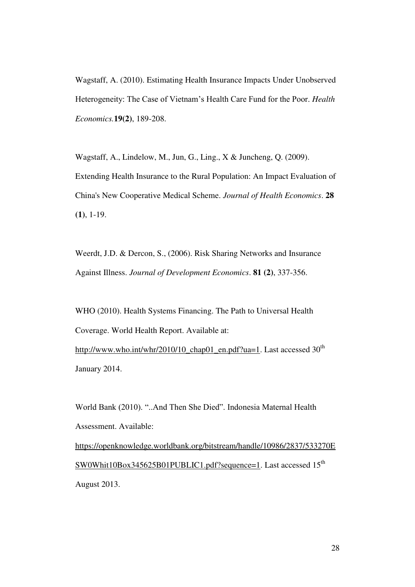Wagstaff, A. (2010). Estimating Health Insurance Impacts Under Unobserved Heterogeneity: The Case of Vietnam's Health Care Fund for the Poor. *Health Economics.***19(2)**, 189-208.

Wagstaff, A., Lindelow, M., Jun, G., Ling., X & Juncheng, Q. (2009). Extending Health Insurance to the Rural Population: An Impact Evaluation of China's New Cooperative Medical Scheme. *Journal of Health Economics*. **28 (1)**, 1-19.

Weerdt, J.D. & Dercon, S., (2006). Risk Sharing Networks and Insurance Against Illness. *Journal of Development Economics*. **81 (2)**, 337-356.

WHO (2010). Health Systems Financing. The Path to Universal Health Coverage. World Health Report. Available at:

[http://www.who.int/whr/2010/10\\_chap01\\_en.pdf?ua=1.](http://www.who.int/whr/2010/10_chap01_en.pdf?ua=1) Last accessed  $30<sup>th</sup>$ January 2014.

World Bank (2010). "..And Then She Died". Indonesia Maternal Health Assessment. Available: [https://openknowledge.worldbank.org/bitstream/handle/10986/2837/533270E](https://openknowledge.worldbank.org/bitstream/handle/10986/2837/533270ESW0Whit10Box345625B01PUBLIC1.pdf?sequence=1) [SW0Whit10Box345625B01PUBLIC1.pdf?sequence=1.](https://openknowledge.worldbank.org/bitstream/handle/10986/2837/533270ESW0Whit10Box345625B01PUBLIC1.pdf?sequence=1) Last accessed 15<sup>th</sup> August 2013.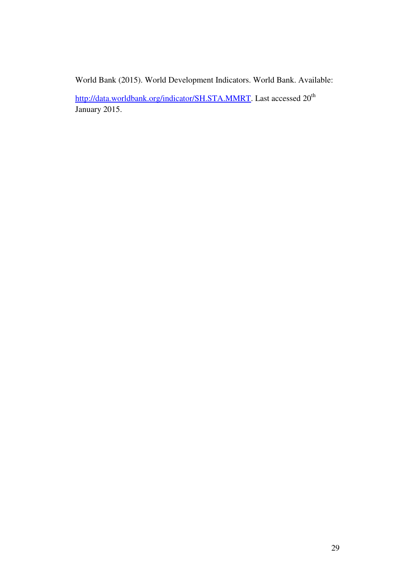World Bank (2015). World Development Indicators. World Bank. Available:

[http://data.worldbank.org/indicator/SH.STA.MMRT.](http://data.worldbank.org/indicator/SH.STA.MMRT) Last accessed 20<sup>th</sup> January 2015.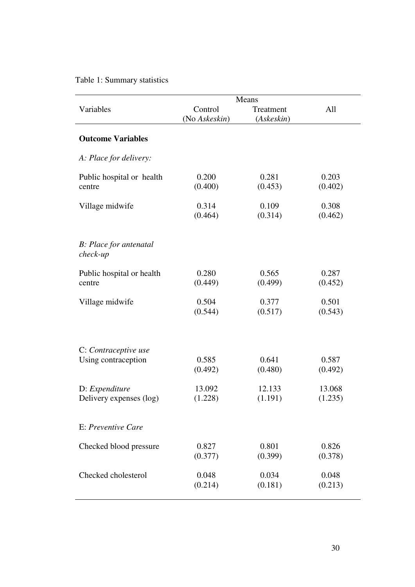## Table 1: Summary statistics

|                                              | Means         |            |         |  |
|----------------------------------------------|---------------|------------|---------|--|
| Variables                                    | Control       | Treatment  | All     |  |
|                                              | (No Askeskin) | (Askeskin) |         |  |
| <b>Outcome Variables</b>                     |               |            |         |  |
| A: Place for delivery:                       |               |            |         |  |
| Public hospital or health                    | 0.200         | 0.281      | 0.203   |  |
| centre                                       | (0.400)       | (0.453)    | (0.402) |  |
| Village midwife                              | 0.314         | 0.109      | 0.308   |  |
|                                              | (0.464)       | (0.314)    | (0.462) |  |
| <b>B</b> : Place for antenatal<br>$check-up$ |               |            |         |  |
| Public hospital or health                    | 0.280         | 0.565      | 0.287   |  |
| centre                                       | (0.449)       | (0.499)    | (0.452) |  |
| Village midwife                              | 0.504         | 0.377      | 0.501   |  |
|                                              | (0.544)       | (0.517)    | (0.543) |  |
| C: Contraceptive use                         | 0.585         | 0.641      | 0.587   |  |
| Using contraception                          | (0.492)       | (0.480)    | (0.492) |  |
| D: Expenditure                               | 13.092        | 12.133     | 13.068  |  |
| Delivery expenses (log)                      | (1.228)       | (1.191)    | (1.235) |  |
| E: Preventive Care                           |               |            |         |  |
| Checked blood pressure                       | 0.827         | 0.801      | 0.826   |  |
|                                              | (0.377)       | (0.399)    | (0.378) |  |
| Checked cholesterol                          | 0.048         | 0.034      | 0.048   |  |
|                                              | (0.214)       | (0.181)    | (0.213) |  |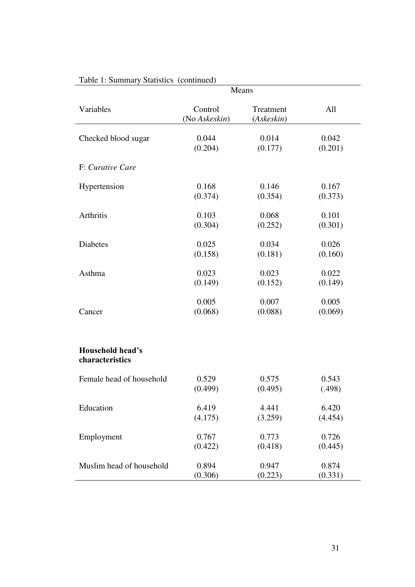| Means                                      |                          |                         |         |  |  |
|--------------------------------------------|--------------------------|-------------------------|---------|--|--|
| Variables                                  | Control<br>(No Askeskin) | Treatment<br>(Askeskin) | All     |  |  |
| Checked blood sugar                        | 0.044                    | 0.014                   | 0.042   |  |  |
|                                            | (0.204)                  | (0.177)                 | (0.201) |  |  |
| F: Curative Care                           |                          |                         |         |  |  |
| Hypertension                               | 0.168                    | 0.146                   | 0.167   |  |  |
|                                            | (0.374)                  | (0.354)                 | (0.373) |  |  |
| <b>Arthritis</b>                           | 0.103                    | 0.068                   | 0.101   |  |  |
|                                            | (0.304)                  | (0.252)                 | (0.301) |  |  |
| <b>Diabetes</b>                            | 0.025                    | 0.034                   | 0.026   |  |  |
|                                            | (0.158)                  | (0.181)                 | (0.160) |  |  |
| Asthma                                     | 0.023                    | 0.023                   | 0.022   |  |  |
|                                            | (0.149)                  | (0.152)                 | (0.149) |  |  |
| Cancer                                     | 0.005                    | 0.007                   | 0.005   |  |  |
|                                            | (0.068)                  | (0.088)                 | (0.069) |  |  |
| <b>Household head's</b><br>characteristics |                          |                         |         |  |  |
| Female head of household                   | 0.529                    | 0.575                   | 0.543   |  |  |
|                                            | (0.499)                  | (0.495)                 | (.498)  |  |  |
| Education                                  | 6.419                    | 4.441                   | 6.420   |  |  |
|                                            | (4.175)                  | (3.259)                 | (4.454) |  |  |
| Employment                                 | 0.767                    | 0.773                   | 0.726   |  |  |
|                                            | (0.422)                  | (0.418)                 | (0.445) |  |  |
| Muslim head of household                   | 0.894                    | 0.947                   | 0.874   |  |  |
|                                            | (0.306)                  | (0.223)                 | (0.331) |  |  |

## Table 1: Summary Statistics (continued)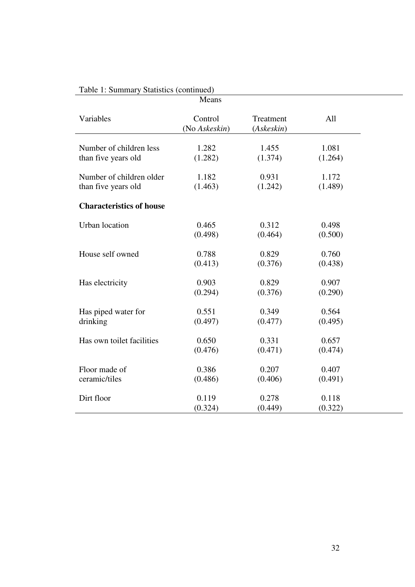|                                 | Means                    |                         |         |
|---------------------------------|--------------------------|-------------------------|---------|
| Variables                       | Control<br>(No Askeskin) | Treatment<br>(Askeskin) | All     |
| Number of children less         | 1.282                    | 1.455                   | 1.081   |
| than five years old             | (1.282)                  | (1.374)                 | (1.264) |
| Number of children older        | 1.182                    | 0.931                   | 1.172   |
| than five years old             | (1.463)                  | (1.242)                 | (1.489) |
| <b>Characteristics of house</b> |                          |                         |         |
| <b>Urban</b> location           | 0.465                    | 0.312                   | 0.498   |
|                                 | (0.498)                  | (0.464)                 | (0.500) |
| House self owned                | 0.788                    | 0.829                   | 0.760   |
|                                 | (0.413)                  | (0.376)                 | (0.438) |
| Has electricity                 | 0.903                    | 0.829                   | 0.907   |
|                                 | (0.294)                  | (0.376)                 | (0.290) |
| Has piped water for             | 0.551                    | 0.349                   | 0.564   |
| drinking                        | (0.497)                  | (0.477)                 | (0.495) |
| Has own toilet facilities       | 0.650                    | 0.331                   | 0.657   |
|                                 | (0.476)                  | (0.471)                 | (0.474) |
| Floor made of                   | 0.386                    | 0.207                   | 0.407   |
| ceramic/tiles                   | (0.486)                  | (0.406)                 | (0.491) |
| Dirt floor                      | 0.119                    | 0.278                   | 0.118   |
|                                 | (0.324)                  | (0.449)                 | (0.322) |

## Table 1: Summary Statistics (continued)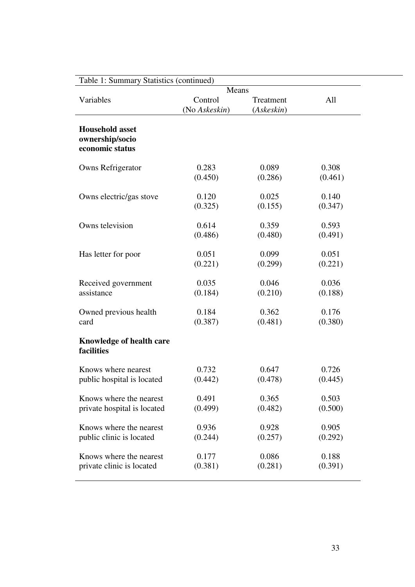| Table 1: Summary Statistics (continued) |               |            |         |  |
|-----------------------------------------|---------------|------------|---------|--|
| Means                                   |               |            |         |  |
| Variables                               | Control       | Treatment  | All     |  |
|                                         | (No Askeskin) | (Askeskin) |         |  |
|                                         |               |            |         |  |
| <b>Household asset</b>                  |               |            |         |  |
| ownership/socio                         |               |            |         |  |
| economic status                         |               |            |         |  |
|                                         |               |            |         |  |
| Owns Refrigerator                       | 0.283         | 0.089      | 0.308   |  |
|                                         | (0.450)       | (0.286)    | (0.461) |  |
|                                         |               |            |         |  |
| Owns electric/gas stove                 | 0.120         | 0.025      | 0.140   |  |
|                                         | (0.325)       | (0.155)    | (0.347) |  |
|                                         |               |            |         |  |
| Owns television                         | 0.614         | 0.359      | 0.593   |  |
|                                         | (0.486)       | (0.480)    | (0.491) |  |
|                                         |               |            |         |  |
| Has letter for poor                     | 0.051         | 0.099      | 0.051   |  |
|                                         | (0.221)       | (0.299)    | (0.221) |  |
|                                         |               |            |         |  |
| Received government                     | 0.035         | 0.046      | 0.036   |  |
| assistance                              | (0.184)       | (0.210)    | (0.188) |  |
|                                         |               |            |         |  |
| Owned previous health                   | 0.184         | 0.362      | 0.176   |  |
| card                                    | (0.387)       | (0.481)    | (0.380) |  |
|                                         |               |            |         |  |
| <b>Knowledge of health care</b>         |               |            |         |  |
| facilities                              |               |            |         |  |
|                                         |               |            |         |  |
| Knows where nearest                     | 0.732         | 0.647      | 0.726   |  |
| public hospital is located              | (0.442)       | (0.478)    | (0.445) |  |
|                                         |               |            |         |  |
| Knows where the nearest                 | 0.491         | 0.365      | 0.503   |  |
| private hospital is located             | (0.499)       | (0.482)    | (0.500) |  |
|                                         |               |            |         |  |
| Knows where the nearest                 | 0.936         | 0.928      | 0.905   |  |
| public clinic is located                | (0.244)       | (0.257)    | (0.292) |  |
|                                         |               |            |         |  |
| Knows where the nearest                 | 0.177         | 0.086      | 0.188   |  |
| private clinic is located               | (0.381)       | (0.281)    | (0.391) |  |
|                                         |               |            |         |  |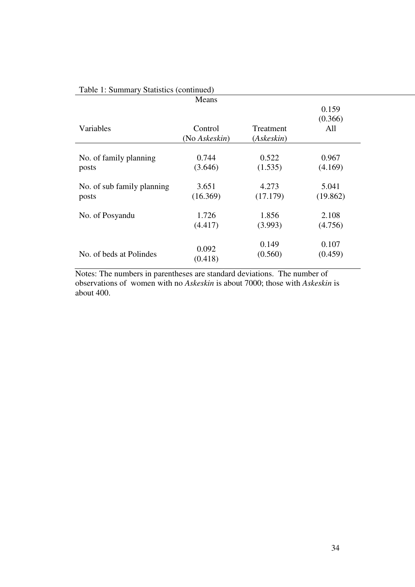|                            | Means         |            |          |  |
|----------------------------|---------------|------------|----------|--|
|                            |               |            | 0.159    |  |
|                            |               |            | (0.366)  |  |
| Variables                  | Control       | Treatment  | All      |  |
|                            | (No Askeskin) | (Askeskin) |          |  |
|                            |               |            |          |  |
| No. of family planning     | 0.744         | 0.522      | 0.967    |  |
| posts                      | (3.646)       | (1.535)    | (4.169)  |  |
|                            |               |            |          |  |
| No. of sub family planning | 3.651         | 4.273      | 5.041    |  |
| posts                      | (16.369)      | (17.179)   | (19.862) |  |
|                            |               |            |          |  |
| No. of Posyandu            | 1.726         | 1.856      | 2.108    |  |
|                            | (4.417)       | (3.993)    | (4.756)  |  |
|                            |               |            |          |  |
|                            | 0.092         | 0.149      | 0.107    |  |
| No. of beds at Polindes    | (0.418)       | (0.560)    | (0.459)  |  |
|                            |               |            |          |  |

## Table 1: Summary Statistics (continued)

Notes: The numbers in parentheses are standard deviations. The number of observations of women with no *Askeskin* is about 7000; those with *Askeskin* is about 400.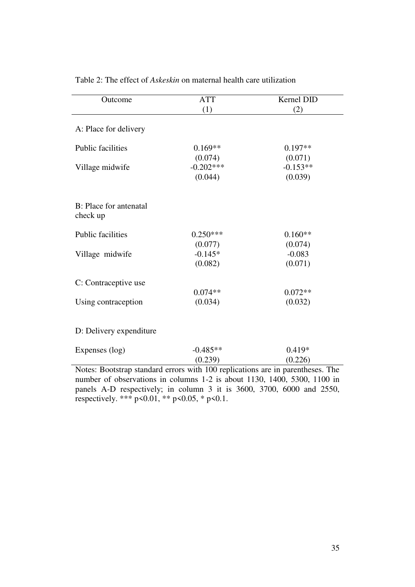| Outcome                                                                        | <b>ATT</b>  | Kernel DID |
|--------------------------------------------------------------------------------|-------------|------------|
|                                                                                | (1)         | (2)        |
|                                                                                |             |            |
| A: Place for delivery                                                          |             |            |
|                                                                                |             |            |
| <b>Public facilities</b>                                                       | $0.169**$   | $0.197**$  |
|                                                                                | (0.074)     | (0.071)    |
| Village midwife                                                                | $-0.202***$ | $-0.153**$ |
|                                                                                | (0.044)     | (0.039)    |
|                                                                                |             |            |
|                                                                                |             |            |
| B: Place for antenatal                                                         |             |            |
| check up                                                                       |             |            |
| <b>Public facilities</b>                                                       | $0.250***$  | $0.160**$  |
|                                                                                | (0.077)     | (0.074)    |
| Village midwife                                                                | $-0.145*$   | $-0.083$   |
|                                                                                | (0.082)     | (0.071)    |
|                                                                                |             |            |
| C: Contraceptive use                                                           |             |            |
|                                                                                | $0.074**$   | $0.072**$  |
| Using contraception                                                            | (0.034)     | (0.032)    |
|                                                                                |             |            |
|                                                                                |             |            |
| D: Delivery expenditure                                                        |             |            |
|                                                                                |             |            |
| Expenses (log)                                                                 | $-0.485**$  | $0.419*$   |
| Notes: Rootstran standard errors with 100 replications are in parentheses. The | (0.239)     | (0.226)    |

Table 2: The effect of *Askeskin* on maternal health care utilization

Notes: Bootstrap standard errors with 100 replications are in parentheses. The number of observations in columns 1-2 is about 1130, 1400, 5300, 1100 in panels A-D respectively; in column 3 it is 3600, 3700, 6000 and 2550, respectively. \*\*\*  $p \le 0.01$ , \*\*  $p \le 0.05$ , \*  $p \le 0.1$ .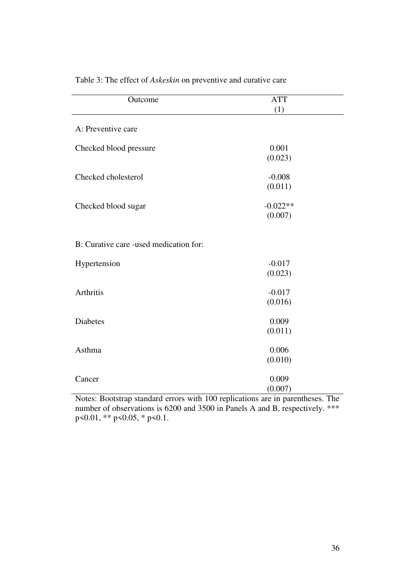| Outcome                                | <b>ATT</b>    |
|----------------------------------------|---------------|
|                                        | (1)           |
| A: Preventive care                     |               |
| Checked blood pressure                 | 0.001         |
|                                        | (0.023)       |
| Checked cholesterol                    | $-0.008$      |
|                                        | (0.011)       |
| Checked blood sugar                    | $-0.022**$    |
|                                        | (0.007)       |
|                                        |               |
| B: Curative care -used medication for: |               |
| Hypertension                           | $-0.017$      |
|                                        | (0.023)       |
| Arthritis                              | $-0.017$      |
|                                        | (0.016)       |
| <b>Diabetes</b>                        | 0.009         |
|                                        | (0.011)       |
| Asthma                                 | 0.006         |
|                                        | (0.010)       |
| Cancer                                 | 0.009         |
| 1.1.100<br>$\mathbf{H}$                | (0.007)<br>m. |

Table 3: The effect of *Askeskin* on preventive and curative care

Notes: Bootstrap standard errors with 100 replications are in parentheses. The number of observations is 6200 and 3500 in Panels A and B, respectively. \*\*\* p<0.01, \*\* p<0.05, \* p<0.1.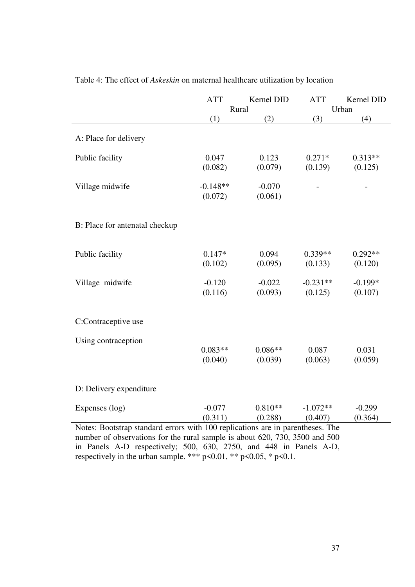|                                                                                                                                                   | <b>ATT</b> | Kernel DID<br>Rural | <b>ATT</b> | Kernel DID<br>Urban |  |
|---------------------------------------------------------------------------------------------------------------------------------------------------|------------|---------------------|------------|---------------------|--|
|                                                                                                                                                   | (1)        | (2)                 | (3)        | (4)                 |  |
|                                                                                                                                                   |            |                     |            |                     |  |
| A: Place for delivery                                                                                                                             |            |                     |            |                     |  |
| Public facility                                                                                                                                   | 0.047      | 0.123               | $0.271*$   | $0.313**$           |  |
|                                                                                                                                                   | (0.082)    | (0.079)             | (0.139)    | (0.125)             |  |
| Village midwife                                                                                                                                   | $-0.148**$ | $-0.070$            |            |                     |  |
|                                                                                                                                                   | (0.072)    | (0.061)             |            |                     |  |
|                                                                                                                                                   |            |                     |            |                     |  |
| B: Place for antenatal checkup                                                                                                                    |            |                     |            |                     |  |
|                                                                                                                                                   |            |                     |            |                     |  |
|                                                                                                                                                   | $0.147*$   | 0.094               | $0.339**$  | $0.292**$           |  |
| Public facility                                                                                                                                   | (0.102)    | (0.095)             | (0.133)    | (0.120)             |  |
|                                                                                                                                                   |            |                     |            |                     |  |
| Village midwife                                                                                                                                   | $-0.120$   | $-0.022$            | $-0.231**$ | $-0.199*$           |  |
|                                                                                                                                                   | (0.116)    | (0.093)             | (0.125)    | (0.107)             |  |
|                                                                                                                                                   |            |                     |            |                     |  |
| C:Contraceptive use                                                                                                                               |            |                     |            |                     |  |
| Using contraception                                                                                                                               |            |                     |            |                     |  |
|                                                                                                                                                   | $0.083**$  | $0.086**$           | 0.087      | 0.031               |  |
|                                                                                                                                                   | (0.040)    | (0.039)             | (0.063)    | (0.059)             |  |
| D: Delivery expenditure                                                                                                                           |            |                     |            |                     |  |
|                                                                                                                                                   |            |                     |            |                     |  |
| Expenses (log)                                                                                                                                    | $-0.077$   | $0.810**$           | $-1.072**$ | $-0.299$            |  |
|                                                                                                                                                   | (0.311)    | (0.288)             | (0.407)    | (0.364)             |  |
| Notes: Bootstrap standard errors with 100 replications are in parentheses. The                                                                    |            |                     |            |                     |  |
| number of observations for the rural sample is about 620, 730, 3500 and 500<br>in Panels A-D respectively; 500, 630, 2750, and 448 in Panels A-D, |            |                     |            |                     |  |

## Table 4: The effect of *Askeskin* on maternal healthcare utilization by location

respectively in the urban sample. \*\*\*  $p \le 0.01$ , \*\*  $p \le 0.05$ , \*  $p \le 0.1$ .